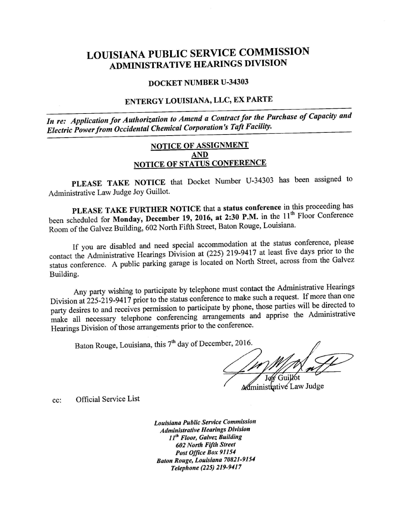# LOUISIANA PUBLIC SERVICE COMMISSION ADMINISTRATIVE HEARINGS DIVISION

#### DOCKET NUMBER U-34303

## ENTERGY LOUISIANA, LLC, EX PARTE

In re: Application for Authorization to Amend a Contract for the Purchase of Capacity and Electric Power from Occidental Chemical Corporation 's Taft Facility.

### NOTICE OF ASSIGNMENT AND NOTICE OF STATUS CONFERENCE

PLEASE TAKE NOTICE that Docket Number U-34303 has been assigned to Administrative Law Judge Joy Guillot.

PLEASE TAKE FURTHER NOTICE that a status conference in this proceeding has been scheduled for Monday, December 19, 2016, at 2:30 P.M. in the 11<sup>th</sup> Floor Conference Room of the Galvez Building, 602 North Fifth Street, Baton Rouge, Louisiana.

If you are disabled and need special accommodation at the status conference, please contact the Administrative Hearings Division at (225) 219-9417 at least five days prior to the status conference. A public parking garage is located on North Street, across from the Galvez Building.

Any party wishing to participate by telephone must contact the Administrative Hearings Division at 225-219-9417 prior to the status conference to make such a request. If more than one party desires to and receives permission to participate by phone, those parties will be directed to make all necessary telephone conferencing arrangements and apprise the Administrative Hearings Division of those arrangements prior to the conference.

Baton Rouge, Louisiana, this 7<sup>th</sup> day of December, 2016.

**M**ministrative Law Judge

cc: Official Service List

Louisiana Public Service Commission Administrative Hearings Division 11<sup>th</sup> Floor, Galvez Building 602 North Fifth Street Post Office Box <sup>91154</sup> Baton Rouge, Louisiana 70821-9154 Telephone (225) 219-941 <sup>7</sup>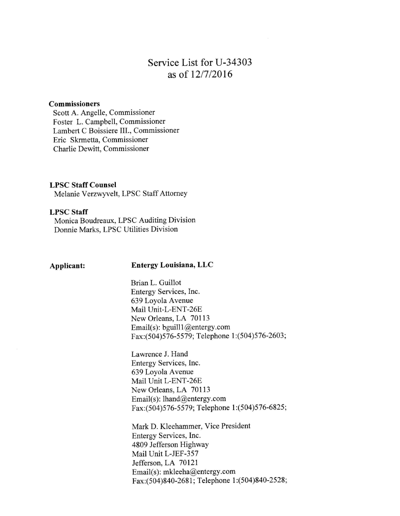# Service List for U-34303 as of 12/7/2016

#### Commissioners

Scott A. Angelle, Commissioner Foster L. Campbell, Commissioner Lambert C Boissiere III., Commissioner Eric Skrmetta, Commissioner Charlie Dewitt, Commissioner

#### LPSC Staff Counsel

Melanie Verzwyvelt, LPSC Staff Attorney

### LPSC Staff

Monica Boudreaux, LPSC Auditing Division Donnie Marks, LPSC Utilities Division

#### Applicant: Entergy Louisiana, LLC

Brian L. Guillot Entergy Services, Inc. <sup>639</sup>Loyola Avenue Mail Unit-L-ENT-26E New Orleans, LA 70113 Email(s): bguill1@entergy.com Fax:(504)576-5579; Telephone 1:(504)576-2603;

Lawrence J. Hand Entergy Services, Inc. <sup>639</sup>Loyola Avenue Mail Unit L-ENT-26E New Orleans, LA 70113 Email(s): lhand@entergy.com Fax:(504)576-5579; Telephone l:(504)576-6825;

Mark D. Kleehammer, Vice President Entergy Services, Inc. 4809 Jefferson Highway Mail Unit L-JEF-357 Jefferson, LA 70121 Email(s): mkleeha@entergy.com Fax:(504)840-2681; Telephone 1:(504)840-2528;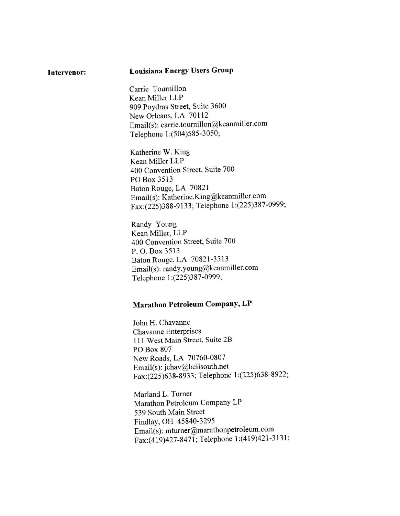## Intervenor: Louisiana Energy Users Group

Carrie Toumillon Kean Miller LLP <sup>909</sup>Poydras Street, Suite 3600 New Orleans, LA 70112 Email(s): carrie.tournillon@keanmiller.com Telephone 1:(504)585-3050;

Katherine W. King Kean Miller LLP 400 Convention Street, Suite 700 PO Box 3513 Baton Rouge, LA 70821 Emai1(s): Katherine.King@keanmil1er.com Fax:(225)388-9133; Telephone 1:(225)387—0999;

Randy Young Kean Miller, LLP 400 Convention Street, Suite 700 P. O. Box 3513 Baton Rouge, LA 70821-3513 Emai1(s): randy.young@keanmi11er.com Telephone 1:(225)387—0999;

## Marathon Petroleum Company, LP

John H. Chavanne Chavanne Enterprises 111 West Main Street, Suite 2B PO Box 807 New Roads, LA 70760-0807 Emai1(s): jchav@bellsouth.net Fax:(225)63 8-8933; Telephone 1:(225)638-8922;

Marland L. Turner Marathon Petroleum Company LP 539 South Main Street Findlay, OH 45840-3295 Emai1(s): mtumer@marathonpetro1eum.com Fax:(419)427-8471; Telephone 1 :(419)421-3131;